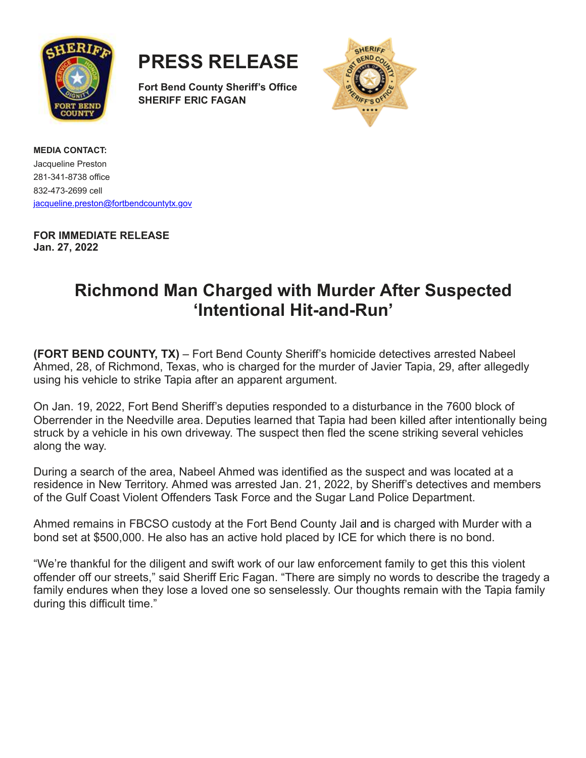

**PRESS RELEASE**

**Fort Bend County Sheriff's Office SHERIFF ERIC FAGAN**



**MEDIA CONTACT:** Jacqueline Preston 281-341-8738 office 832-473-2699 cell [jacqueline.preston@fortbendcountytx.gov](mailto:jacqueline.preston@fortbendcountytx.gov)

**FOR IMMEDIATE RELEASE Jan. 27, 2022**

## **Richmond Man Charged with Murder After Suspected 'Intentional Hit-and-Run'**

**(FORT BEND COUNTY, TX)** – Fort Bend County Sheriff's homicide detectives arrested Nabeel Ahmed, 28, of Richmond, Texas, who is charged for the murder of Javier Tapia, 29, after allegedly using his vehicle to strike Tapia after an apparent argument.

On Jan. 19, 2022, Fort Bend Sheriff's deputies responded to a disturbance in the 7600 block of Oberrender in the Needville area. Deputies learned that Tapia had been killed after intentionally being struck by a vehicle in his own driveway. The suspect then fled the scene striking several vehicles along the way.

During a search of the area, Nabeel Ahmed was identified as the suspect and was located at a residence in New Territory. Ahmed was arrested Jan. 21, 2022, by Sheriff's detectives and members of the Gulf Coast Violent Offenders Task Force and the Sugar Land Police Department.

Ahmed remains in FBCSO custody at the Fort Bend County Jail and is charged with Murder with a bond set at \$500,000. He also has an active hold placed by ICE for which there is no bond.

"We're thankful for the diligent and swift work of our law enforcement family to get this this violent offender off our streets," said Sheriff Eric Fagan. "There are simply no words to describe the tragedy a family endures when they lose a loved one so senselessly. Our thoughts remain with the Tapia family during this difficult time."